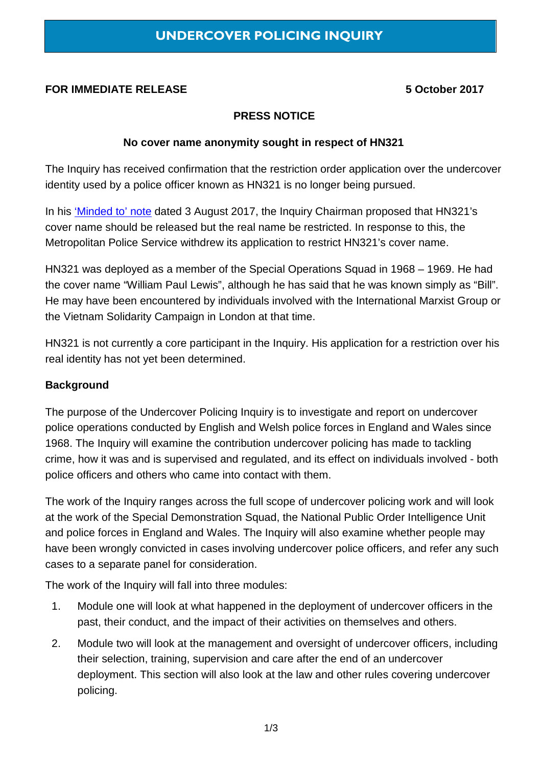# **FOR IMMEDIATE RELEASE 5 October 2017**

## **PRESS NOTICE**

#### **No cover name anonymity sought in respect of HN321**

The Inquiry has received confirmation that the restriction order application over the undercover identity used by a police officer known as HN321 is no longer being pursued.

In his ['Minded to' note](https://www.ucpi.org.uk/wp-content/uploads/2017/08/20170803-Minded-to.pdf) dated 3 August 2017, the Inquiry Chairman proposed that HN321's cover name should be released but the real name be restricted. In response to this, the Metropolitan Police Service withdrew its application to restrict HN321's cover name.

HN321 was deployed as a member of the Special Operations Squad in 1968 – 1969. He had the cover name "William Paul Lewis", although he has said that he was known simply as "Bill". He may have been encountered by individuals involved with the International Marxist Group or the Vietnam Solidarity Campaign in London at that time.

HN321 is not currently a core participant in the Inquiry. His application for a restriction over his real identity has not yet been determined.

### **Background**

The purpose of the Undercover Policing Inquiry is to investigate and report on undercover police operations conducted by English and Welsh police forces in England and Wales since 1968. The Inquiry will examine the contribution undercover policing has made to tackling crime, how it was and is supervised and regulated, and its effect on individuals involved - both police officers and others who came into contact with them.

The work of the Inquiry ranges across the full scope of undercover policing work and will look at the work of the Special Demonstration Squad, the National Public Order Intelligence Unit and police forces in England and Wales. The Inquiry will also examine whether people may have been wrongly convicted in cases involving undercover police officers, and refer any such cases to a separate panel for consideration.

The work of the Inquiry will fall into three modules:

- 1. Module one will look at what happened in the deployment of undercover officers in the past, their conduct, and the impact of their activities on themselves and others.
- 2. Module two will look at the management and oversight of undercover officers, including their selection, training, supervision and care after the end of an undercover deployment. This section will also look at the law and other rules covering undercover policing.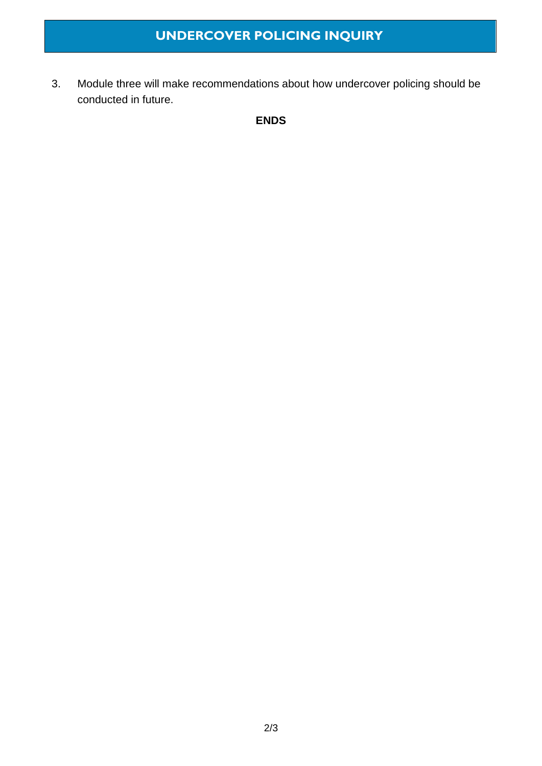3. Module three will make recommendations about how undercover policing should be conducted in future.

**ENDS**